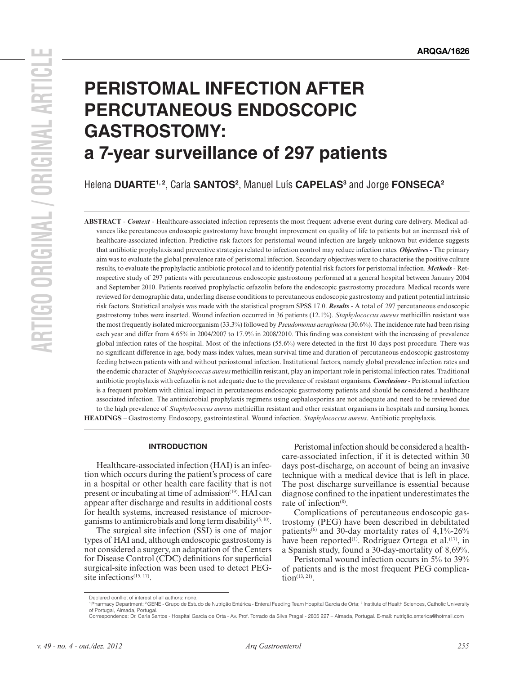# **PERISTOMAL INFECTION AFTER PERCUTANEOUS ENDOSCOPIC GASTROSTOMY: a 7-year surveillance of 297 patients**

Helena DUARTE<sup>1, 2</sup>, Carla SANTOS<sup>2</sup>, Manuel Luís CAPELAS<sup>3</sup> and Jorge FONSECA<sup>2</sup>

**ABSTRACT** - *Context* - Healthcare-associated infection represents the most frequent adverse event during care delivery. Medical advances like percutaneous endoscopic gastrostomy have brought improvement on quality of life to patients but an increased risk of healthcare-associated infection. Predictive risk factors for peristomal wound infection are largely unknown but evidence suggests that antibiotic prophylaxis and preventive strategies related to infection control may reduce infection rates. *Objectives* - The primary aim was to evaluate the global prevalence rate of peristomal infection. Secondary objectives were to characterise the positive culture results, to evaluate the prophylactic antibiotic protocol and to identify potential risk factors for peristomal infection. *Methods* - Retrospective study of 297 patients with percutaneous endoscopic gastrostomy performed at a general hospital between January 2004 and September 2010. Patients received prophylactic cefazolin before the endoscopic gastrostomy procedure. Medical records were reviewed for demographic data, underling disease conditions to percutaneous endoscopic gastrostomy and patient potential intrinsic risk factors. Statistical analysis was made with the statistical program SPSS 17.0. *Results* - A total of 297 percutaneous endoscopic gastrostomy tubes were inserted. Wound infection occurred in 36 patients (12.1%). *Staphylococcus aureus* methicillin resistant was the most frequently isolated microorganism (33.3%) followed by *Pseudomonas aeruginosa* (30.6%). The incidence rate had been rising each year and differ from 4.65% in 2004/2007 to 17.9% in 2008/2010. This finding was consistent with the increasing of prevalence global infection rates of the hospital. Most of the infections (55.6%) were detected in the first 10 days post procedure. There was no significant difference in age, body mass index values, mean survival time and duration of percutaneous endoscopic gastrostomy feeding between patients with and without periostomal infection. Institutional factors, namely global prevalence infection rates and the endemic character of *Staphylococcus aureus* methicillin resistant, play an important role in peristomal infection rates. Traditional antibiotic prophylaxis with cefazolin is not adequate due to the prevalence of resistant organisms. *Conclusions* - Peristomal infection is a frequent problem with clinical impact in percutaneous endoscopic gastrostomy patients and should be considered a healthcare associated infection. The antimicrobial prophylaxis regimens using cephalosporins are not adequate and need to be reviewed due to the high prevalence of *Staphylococcus aureus* methicillin resistant and other resistant organisms in hospitals and nursing homes. **HEADINGS** – Gastrostomy. Endoscopy, gastrointestinal. Wound infection. *Staphylococcus aureus*. Antibiotic prophylaxis.

# **INTRODUCTION**

Healthcare-associated infection (HAI) is an infection which occurs during the patient's process of care in a hospital or other health care facility that is not present or incubating at time of admission<sup>(19)</sup>. HAI can appear after discharge and results in additional costs for health systems, increased resistance of microorganisms to antimicrobials and long term disability<sup> $(5, 10)$ </sup>.

The surgical site infection (SSI) is one of major types of HAI and, although endoscopic gastrostomy is not considered a surgery, an adaptation of the Centers for Disease Control (CDC) definitions for superficial surgical-site infection was been used to detect PEGsite infections<sup>(15, 17)</sup>.

Peristomal infection should be considered a healthcare-associated infection, if it is detected within 30 days post-discharge, on account of being an invasive technique with a medical device that is left in place. The post discharge surveillance is essential because diagnose confined to the inpatient underestimates the rate of infection<sup>(8)</sup>.

Complications of percutaneous endoscopic gastrostomy (PEG) have been described in debilitated patients<sup>(6)</sup> and 30-day mortality rates of  $4,1\%$ -26% have been reported<sup>(1)</sup>. Rodriguez Ortega et al.<sup>(17)</sup>, in a Spanish study, found a 30-day-mortality of 8,69%.

Peristomal wound infection occurs in 5% to 39% of patients and is the most frequent PEG complica- $\tan^{(13, 21)}$ .

Declared conflict of interest of all authors: none.

<sup>&#</sup>x27;Pharmacy Department; <del>'</del>GENE - Grupo de Estudo de Nutrição Entérica - Enteral Feeding Team Hospital Garcia de Orta; <sup>3</sup> Institute of Health Sciences, Catholic University<br>of Portugal, Almada, Portugal.

Correspondence: Dr. Carla Santos - Hospital Garcia de Orta - Av. Prof. Torrado da Silva Pragal - 2805 227 – Almada, Portugal. E-mail: nutrição.enterica@hotmail.com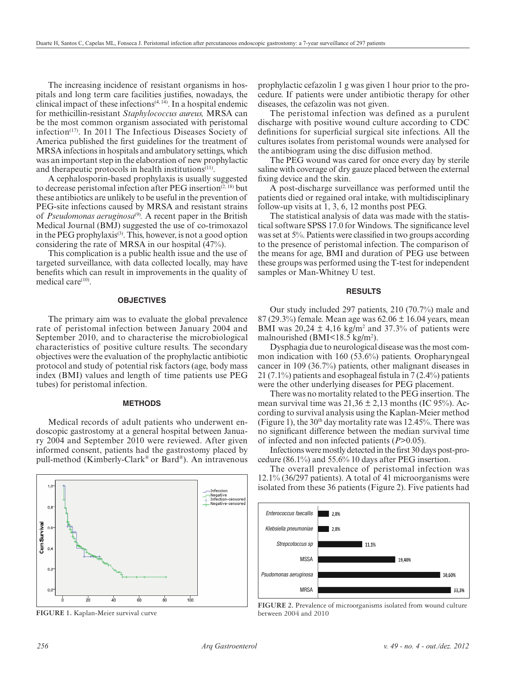The increasing incidence of resistant organisms in hospitals and long term care facilities justifies, nowadays, the clinical impact of these infections<sup> $(4, 14)$ </sup>. In a hospital endemic for methicillin-resistant *Staphylococcus aureus,* MRSA can be the most common organism associated with peristomal infection(17). In 2011 The Infectious Diseases Society of America published the first guidelines for the treatment of MRSA infections in hospitals and ambulatory settings, which was an important step in the elaboration of new prophylactic and therapeutic protocols in health institutions<sup>(11)</sup>.

A cephalosporin-based prophylaxis is usually suggested to decrease peristomal infection after PEG insertion<sup> $(2, 18)$ </sup> but these antibiotics are unlikely to be useful in the prevention of PEG-site infections caused by MRSA and resistant strains of *Pseudomonas aeruginosa*(9)*.* A recent paper in the British Medical Journal (BMJ) suggested the use of co-trimoxazol in the PEG prophylaxis<sup>(3)</sup>. This, however, is not a good option considering the rate of MRSA in our hospital (47%).

This complication is a public health issue and the use of targeted surveillance, with data collected locally, may have benefits which can result in improvements in the quality of medical care $(10)$ .

# **OBJECTIVES**

The primary aim was to evaluate the global prevalence rate of peristomal infection between January 2004 and September 2010, and to characterise the microbiological characteristics of positive culture results. The secondary objectives were the evaluation of the prophylactic antibiotic protocol and study of potential risk factors (age, body mass index (BMI) values and length of time patients use PEG tubes) for peristomal infection.

#### **METHODS**

Medical records of adult patients who underwent endoscopic gastrostomy at a general hospital between January 2004 and September 2010 were reviewed. After given informed consent, patients had the gastrostomy placed by pull-method (Kimberly-Clark® or Bard®). An intravenous



**FIGURE 1.** Kaplan-Meier survival curve

prophylactic cefazolin 1 g was given 1 hour prior to the procedure. If patients were under antibiotic therapy for other diseases, the cefazolin was not given.

The peristomal infection was defined as a purulent discharge with positive wound culture according to CDC definitions for superficial surgical site infections. All the cultures isolates from peristomal wounds were analysed for the antibiogram using the disc diffusion method.

The PEG wound was cared for once every day by sterile saline with coverage of dry gauze placed between the external fixing device and the skin.

A post-discharge surveillance was performed until the patients died or regained oral intake, with multidisciplinary follow-up visits at 1, 3, 6, 12 months post PEG.

The statistical analysis of data was made with the statistical software SPSS 17.0 for Windows. The significance level was set at 5%. Patients were classified in two groups according to the presence of peristomal infection. The comparison of the means for age, BMI and duration of PEG use between these groups was performed using the T-test for independent samples or Man-Whitney U test.

# **RESULTS**

Our study included 297 patients, 210 (70.7%) male and 87 (29.3%) female. Mean age was  $62.06 \pm 16.04$  years, mean BMI was  $20,24 \pm 4,16$  kg/m<sup>2</sup> and 37.3% of patients were malnourished (BMI<18.5 kg/m<sup>2</sup>).

Dysphagia due to neurological disease was the most common indication with 160 (53.6%) patients. Oropharyngeal cancer in 109 (36.7%) patients, other malignant diseases in 21 (7.1%) patients and esophageal fistula in 7 (2.4%) patients were the other underlying diseases for PEG placement.

There was no mortality related to the PEG insertion. The mean survival time was  $21.36 \pm 2.13$  months (IC 95%). According to survival analysis using the Kaplan-Meier method (Figure 1), the  $30<sup>th</sup>$  day mortality rate was 12.45%. There was no significant difference between the median survival time of infected and non infected patients (*P*>0.05).

Infections were mostly detected in the first 30 days post-procedure (86.1%) and 55.6% 10 days after PEG insertion.

The overall prevalence of peristomal infection was 12.1% (36/297 patients). A total of 41 microorganisms were isolated from these 36 patients (Figure 2). Five patients had



**FIGURE 2.** Prevalence of microorganisms isolated from wound culture between 2004 and 2010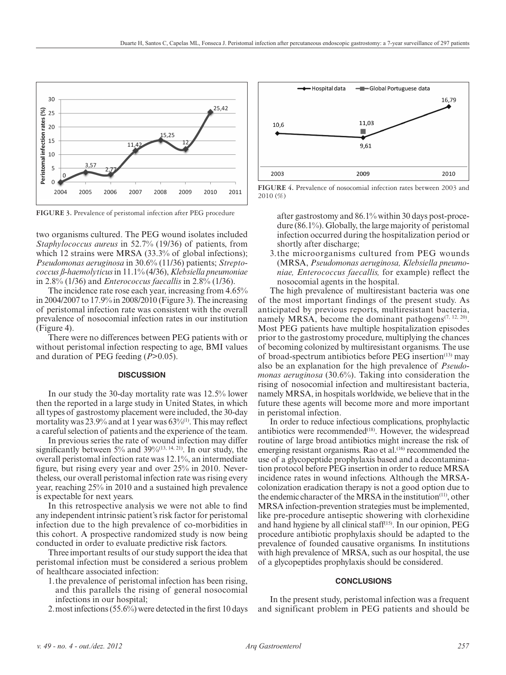

**FIGURE 3.** Prevalence of peristomal infection after PEG procedure

two organisms cultured. The PEG wound isolates included *Staphylococcus aureus* in 52.7% (19/36) of patients, from which 12 strains were MRSA (33.3% of global infections); *Pseudomonas aeruginosa* in 30.6% (11/36) patients; *Streptococcus ß-haemolyticus* in 11.1% (4/36), *Klebsiella pneumoniae* in 2.8% (1/36) and *Enterococcus faecallis* in 2.8% (1/36).

The incidence rate rose each year, increasing from 4.65% in 2004/2007 to 17.9% in 2008/2010 (Figure 3). The increasing of peristomal infection rate was consistent with the overall prevalence of nosocomial infection rates in our institution (Figure 4).

There were no differences between PEG patients with or without peristomal infection respecting to age, BMI values and duration of PEG feeding (*P*>0.05).

#### **DISCUSSION**

In our study the 30-day mortality rate was 12.5% lower then the reported in a large study in United States, in which all types of gastrostomy placement were included, the 30-day mortality was  $23.9\%$  and at 1 year was  $63\%$ <sup>(1)</sup>. This may reflect a careful selection of patients and the experience of the team.

In previous series the rate of wound infection may differ significantly between  $5\%$  and  $39\%$ <sup>(13, 14, 21)</sup>. In our study, the overall peristomal infection rate was 12.1%, an intermediate figure, but rising every year and over 25% in 2010. Nevertheless, our overall peristomal infection rate was rising every year, reaching 25% in 2010 and a sustained high prevalence is expectable for next years.

In this retrospective analysis we were not able to find any independent intrinsic patient's risk factor for peristomal infection due to the high prevalence of co-morbidities in this cohort. A prospective randomized study is now being conducted in order to evaluate predictive risk factors.

Three important results of our study support the idea that peristomal infection must be considered a serious problem of healthcare associated infection:

- 1.the prevalence of peristomal infection has been rising, and this parallels the rising of general nosocomial infections in our hospital;
- 2.most infections (55.6%) were detected in the first 10 days



**FIGURE 4.** Prevalence of nosocomial infection rates between 2003 and 2010 (%)

after gastrostomy and 86.1% within 30 days post-procedure (86.1%). Globally, the large majority of peristomal infection occurred during the hospitalization period or shortly after discharge;

3.the microorganisms cultured from PEG wounds (MRSA, *Pseudomonas aeruginosa, Klebsiella pneumoniae, Enterococcus faecallis,* for example) reflect the nosocomial agents in the hospital.

The high prevalence of multiresistant bacteria was one of the most important findings of the present study. As anticipated by previous reports, multiresistant bacteria, namely MRSA, become the dominant pathogens<sup> $(7, 12, 20)$ </sup>. Most PEG patients have multiple hospitalization episodes prior to the gastrostomy procedure, multiplying the chances of becoming colonized by multiresistant organisms. The use of broad-spectrum antibiotics before PEG insertion<sup> $(13)$ </sup> may also be an explanation for the high prevalence of *Pseudomonas aeruginosa* (30.6%). Taking into consideration the rising of nosocomial infection and multiresistant bacteria, namely MRSA, in hospitals worldwide, we believe that in the future these agents will become more and more important in peristomal infection.

In order to reduce infectious complications, prophylactic antibiotics were recommended $(18)$ . However, the widespread routine of large broad antibiotics might increase the risk of emerging resistant organisms. Rao et al.<sup>(16)</sup> recommended the use of a glycopeptide prophylaxis based and a decontamination protocol before PEG insertion in order to reduce MRSA incidence rates in wound infections. Although the MRSAcolonization eradication therapy is not a good option due to the endemic character of the MRSA in the institution<sup>(11)</sup>, other MRSA infection-prevention strategies must be implemented, like pre-procedure antiseptic showering with clorhexidine and hand hygiene by all clinical staff<sup>(15)</sup>. In our opinion, PEG procedure antibiotic prophylaxis should be adapted to the prevalence of founded causative organisms. In institutions with high prevalence of MRSA, such as our hospital, the use of a glycopeptides prophylaxis should be considered.

# **CONCLUSIONS**

In the present study, peristomal infection was a frequent and significant problem in PEG patients and should be